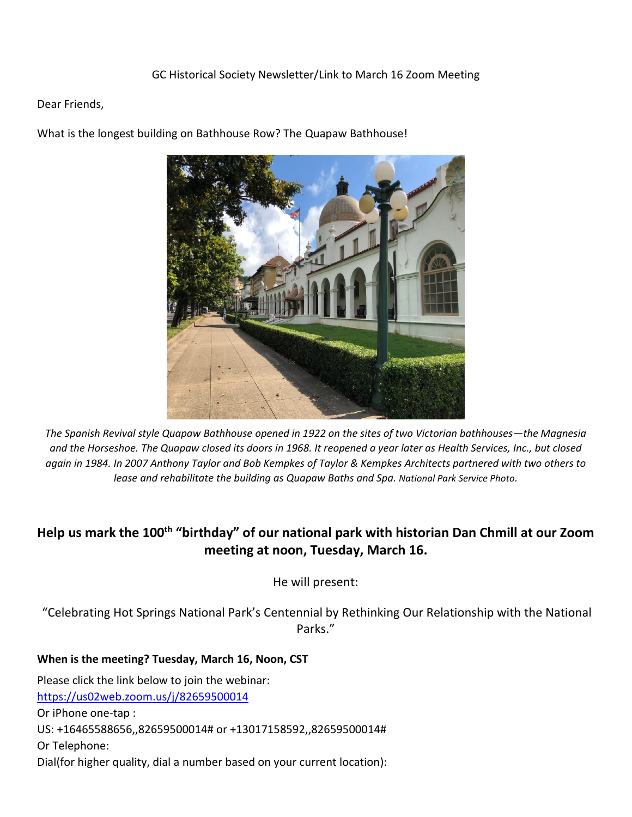Dear Friends,



What is the longest building on Bathhouse Row? The Quapaw Bathhouse!

*The Spanish Revival style Quapaw Bathhouse opened in 1922 on the sites of two Victorian bathhouses—the Magnesia and the Horseshoe. The Quapaw closed its doors in 1968. It reopened a year later as Health Services, Inc., but closed again in 1984. In 2007 Anthony Taylor and Bob Kempkes of Taylor & Kempkes Architects partnered with two others to lease and rehabilitate the building as Quapaw Baths and Spa. National Park Service Photo.*

# **Help us mark the 100th "birthday" of our national park with historian Dan Chmill at our Zoom meeting at noon, Tuesday, March 16.**

He will present:

"Celebrating Hot Springs National Park's Centennial by Rethinking Our Relationship with the National Parks."

## **When is the meeting? Tuesday, March 16, Noon, CST**

Please click the link below to join the webinar: <https://us02web.zoom.us/j/82659500014> Or iPhone one-tap : US: +16465588656,,82659500014# or +13017158592,,82659500014# Or Telephone: Dial(for higher quality, dial a number based on your current location):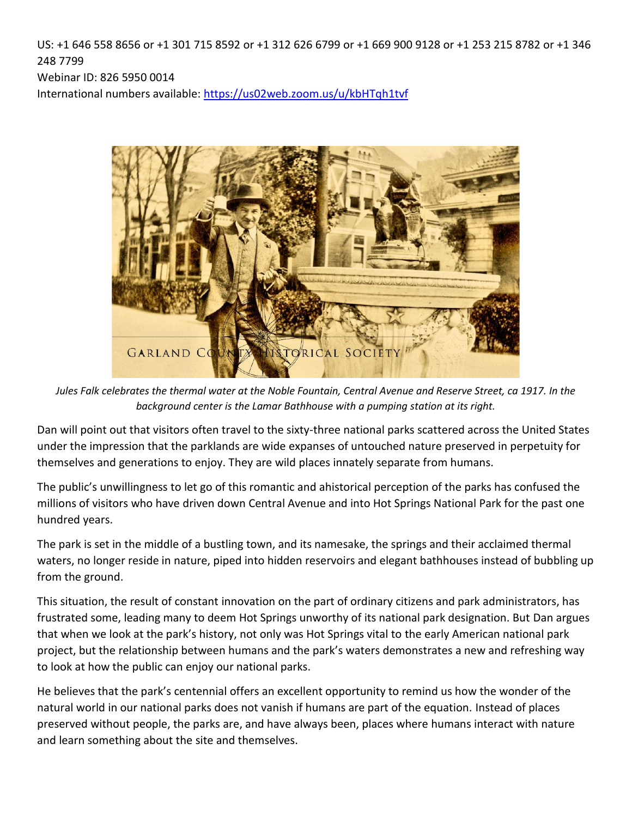US: +1 646 558 8656 or +1 301 715 8592 or +1 312 626 6799 or +1 669 900 9128 or +1 253 215 8782 or +1 346 248 7799

Webinar ID: 826 5950 0014

International numbers available:<https://us02web.zoom.us/u/kbHTqh1tvf>



*Jules Falk celebrates the thermal water at the Noble Fountain, Central Avenue and Reserve Street, ca 1917. In the background center is the Lamar Bathhouse with a pumping station at its right.*

Dan will point out that visitors often travel to the sixty-three national parks scattered across the United States under the impression that the parklands are wide expanses of untouched nature preserved in perpetuity for themselves and generations to enjoy. They are wild places innately separate from humans.

The public's unwillingness to let go of this romantic and ahistorical perception of the parks has confused the millions of visitors who have driven down Central Avenue and into Hot Springs National Park for the past one hundred years.

The park is set in the middle of a bustling town, and its namesake, the springs and their acclaimed thermal waters, no longer reside in nature, piped into hidden reservoirs and elegant bathhouses instead of bubbling up from the ground.

This situation, the result of constant innovation on the part of ordinary citizens and park administrators, has frustrated some, leading many to deem Hot Springs unworthy of its national park designation. But Dan argues that when we look at the park's history, not only was Hot Springs vital to the early American national park project, but the relationship between humans and the park's waters demonstrates a new and refreshing way to look at how the public can enjoy our national parks.

He believes that the park's centennial offers an excellent opportunity to remind us how the wonder of the natural world in our national parks does not vanish if humans are part of the equation. Instead of places preserved without people, the parks are, and have always been, places where humans interact with nature and learn something about the site and themselves.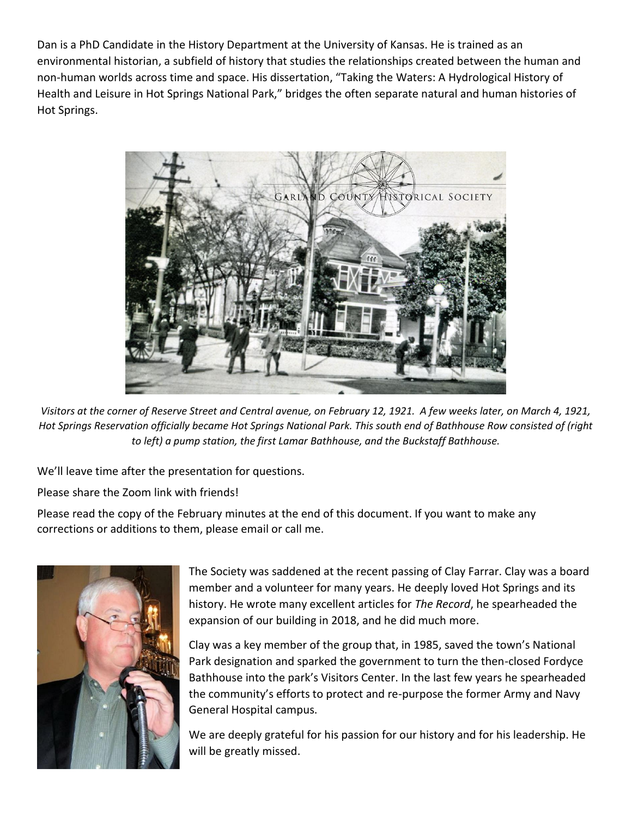Dan is a PhD Candidate in the History Department at the University of Kansas. He is trained as an environmental historian, a subfield of history that studies the relationships created between the human and non-human worlds across time and space. His dissertation, "Taking the Waters: A Hydrological History of Health and Leisure in Hot Springs National Park," bridges the often separate natural and human histories of Hot Springs.



*Visitors at the corner of Reserve Street and Central avenue, on February 12, 1921. A few weeks later, on March 4, 1921, Hot Springs Reservation officially became Hot Springs National Park. This south end of Bathhouse Row consisted of (right to left) a pump station, the first Lamar Bathhouse, and the Buckstaff Bathhouse.* 

We'll leave time after the presentation for questions.

Please share the Zoom link with friends!

Please read the copy of the February minutes at the end of this document. If you want to make any corrections or additions to them, please email or call me.



The Society was saddened at the recent passing of Clay Farrar. Clay was a board member and a volunteer for many years. He deeply loved Hot Springs and its history. He wrote many excellent articles for *The Record*, he spearheaded the expansion of our building in 2018, and he did much more.

Clay was a key member of the group that, in 1985, saved the town's National Park designation and sparked the government to turn the then-closed Fordyce Bathhouse into the park's Visitors Center. In the last few years he spearheaded the community's efforts to protect and re-purpose the former Army and Navy General Hospital campus.

We are deeply grateful for his passion for our history and for his leadership. He will be greatly missed.